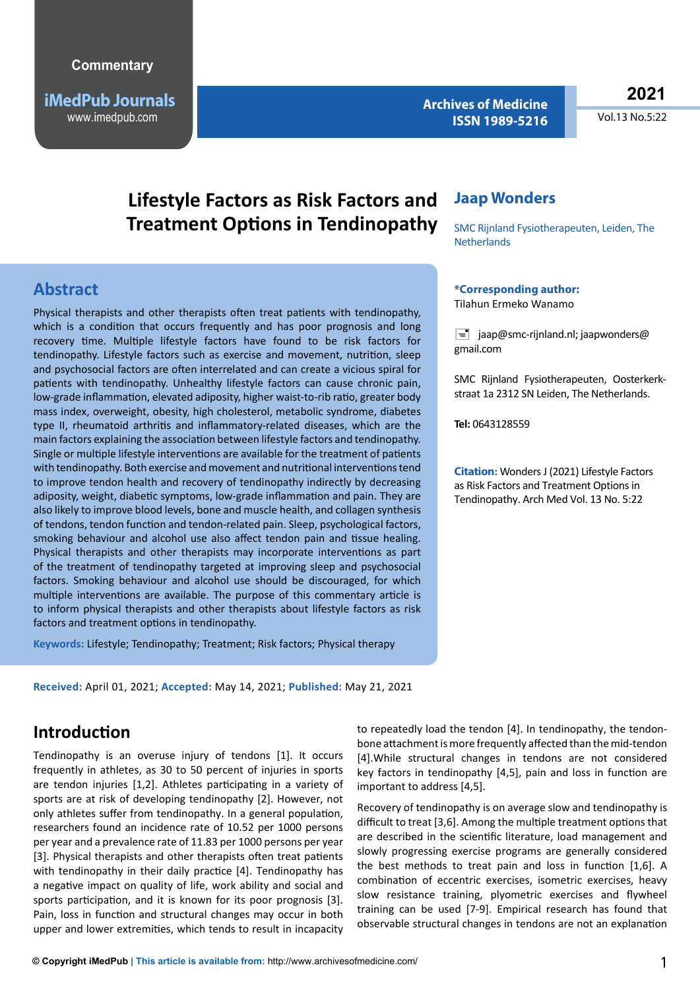**iMedPub Journals** www.imedpub.com

**Archives of Medicine ISSN 1989-5216** **2021**

Vol.13 No.5:22

# **Lifestyle Factors as Risk Factors and Treatment Options in Tendinopathy**

### **Abstract**

Physical therapists and other therapists often treat patients with tendinopathy, which is a condition that occurs frequently and has poor prognosis and long recovery time. Multiple lifestyle factors have found to be risk factors for tendinopathy. Lifestyle factors such as exercise and movement, nutrition, sleep and psychosocial factors are often interrelated and can create a vicious spiral for patients with tendinopathy. Unhealthy lifestyle factors can cause chronic pain, low-grade inflammation, elevated adiposity, higher waist-to-rib ratio, greater body mass index, overweight, obesity, high cholesterol, metabolic syndrome, diabetes type II, rheumatoid arthritis and inflammatory-related diseases, which are the main factors explaining the association between lifestyle factors and tendinopathy. Single or multiple lifestyle interventions are available for the treatment of patients with tendinopathy. Both exercise and movement and nutritional interventions tend to improve tendon health and recovery of tendinopathy indirectly by decreasing adiposity, weight, diabetic symptoms, low-grade inflammation and pain. They are also likely to improve blood levels, bone and muscle health, and collagen synthesis of tendons, tendon function and tendon-related pain. Sleep, psychological factors, smoking behaviour and alcohol use also affect tendon pain and tissue healing. Physical therapists and other therapists may incorporate interventions as part of the treatment of tendinopathy targeted at improving sleep and psychosocial factors. Smoking behaviour and alcohol use should be discouraged, for which multiple interventions are available. The purpose of this commentary article is to inform physical therapists and other therapists about lifestyle factors as risk factors and treatment options in tendinopathy.

**Keywords:** Lifestyle; Tendinopathy; Treatment; Risk factors; Physical therapy

**Received:** April 01, 2021; **Accepted:** May 14, 2021; **Published:** May 21, 2021

### **Introduction**

Tendinopathy is an overuse injury of tendons [1]. It occurs frequently in athletes, as 30 to 50 percent of injuries in sports are tendon injuries [1,2]. Athletes participating in a variety of sports are at risk of developing tendinopathy [2]. However, not only athletes suffer from tendinopathy. In a general population, researchers found an incidence rate of 10.52 per 1000 persons per year and a prevalence rate of 11.83 per 1000 persons per year [3]. Physical therapists and other therapists often treat patients with tendinopathy in their daily practice [4]. Tendinopathy has a negative impact on quality of life, work ability and social and sports participation, and it is known for its poor prognosis [3]. Pain, loss in function and structural changes may occur in both upper and lower extremities, which tends to result in incapacity

### **Jaap Wonders**

SMC Rijnland Fysiotherapeuten, Leiden, The **Netherlands** 

#### **\*Corresponding author:**

Tilahun Ermeko Wanamo

 $\equiv$  jaap@smc-rijnland.nl; jaapwonders@ gmail.com

SMC Rijnland Fysiotherapeuten, Oosterkerkstraat 1a 2312 SN Leiden, The Netherlands.

**Tel:** 0643128559

**Citation:** Wonders J (2021) Lifestyle Factors as Risk Factors and Treatment Options in Tendinopathy. Arch Med Vol. 13 No. 5:22

to repeatedly load the tendon [4]. In tendinopathy, the tendonbone attachment is more frequently affected than the mid-tendon [4].While structural changes in tendons are not considered key factors in tendinopathy [4,5], pain and loss in function are important to address [4,5].

Recovery of tendinopathy is on average slow and tendinopathy is difficult to treat [3,6]. Among the multiple treatment options that are described in the scientific literature, load management and slowly progressing exercise programs are generally considered the best methods to treat pain and loss in function [1,6]. A combination of eccentric exercises, isometric exercises, heavy slow resistance training, plyometric exercises and flywheel training can be used [7-9]. Empirical research has found that observable structural changes in tendons are not an explanation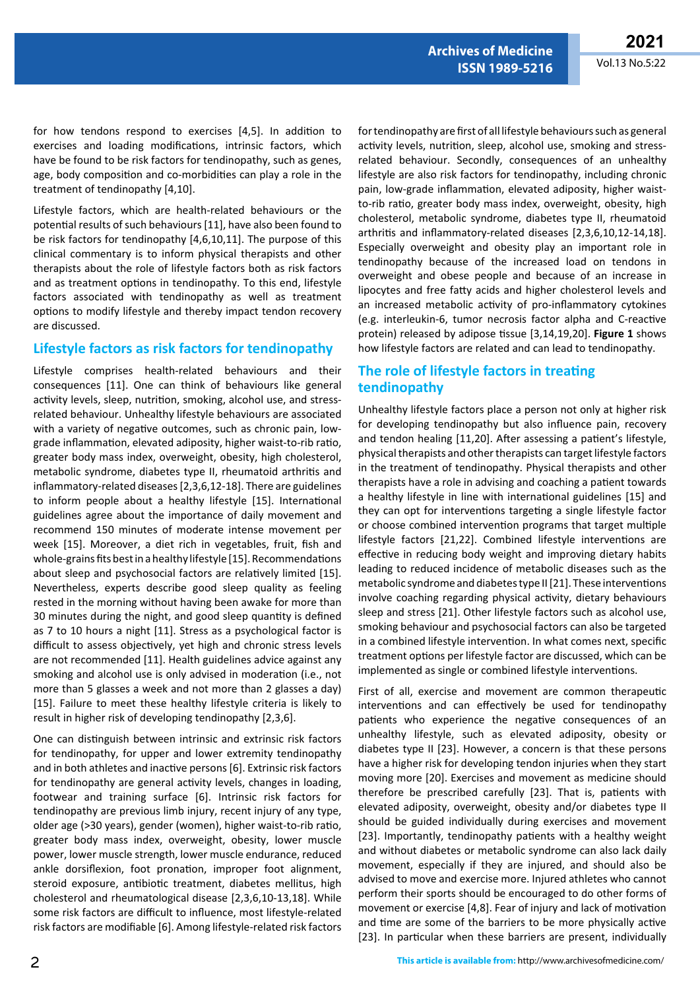for how tendons respond to exercises [4,5]. In addition to exercises and loading modifications, intrinsic factors, which have be found to be risk factors for tendinopathy, such as genes, age, body composition and co-morbidities can play a role in the treatment of tendinopathy [4,10].

Lifestyle factors, which are health-related behaviours or the potential results of such behaviours [11], have also been found to be risk factors for tendinopathy [4,6,10,11]. The purpose of this clinical commentary is to inform physical therapists and other therapists about the role of lifestyle factors both as risk factors and as treatment options in tendinopathy. To this end, lifestyle factors associated with tendinopathy as well as treatment options to modify lifestyle and thereby impact tendon recovery are discussed.

#### **Lifestyle factors as risk factors for tendinopathy**

Lifestyle comprises health-related behaviours and their consequences [11]. One can think of behaviours like general activity levels, sleep, nutrition, smoking, alcohol use, and stressrelated behaviour. Unhealthy lifestyle behaviours are associated with a variety of negative outcomes, such as chronic pain, lowgrade inflammation, elevated adiposity, higher waist-to-rib ratio, greater body mass index, overweight, obesity, high cholesterol, metabolic syndrome, diabetes type II, rheumatoid arthritis and inflammatory-related diseases [2,3,6,12-18]. There are guidelines to inform people about a healthy lifestyle [15]. International guidelines agree about the importance of daily movement and recommend 150 minutes of moderate intense movement per week [15]. Moreover, a diet rich in vegetables, fruit, fish and whole-grains fits best in a healthy lifestyle [15]. Recommendations about sleep and psychosocial factors are relatively limited [15]. Nevertheless, experts describe good sleep quality as feeling rested in the morning without having been awake for more than 30 minutes during the night, and good sleep quantity is defined as 7 to 10 hours a night [11]. Stress as a psychological factor is difficult to assess objectively, yet high and chronic stress levels are not recommended [11]. Health guidelines advice against any smoking and alcohol use is only advised in moderation (i.e., not more than 5 glasses a week and not more than 2 glasses a day) [15]. Failure to meet these healthy lifestyle criteria is likely to result in higher risk of developing tendinopathy [2,3,6].

One can distinguish between intrinsic and extrinsic risk factors for tendinopathy, for upper and lower extremity tendinopathy and in both athletes and inactive persons [6]. Extrinsic risk factors for tendinopathy are general activity levels, changes in loading, footwear and training surface [6]. Intrinsic risk factors for tendinopathy are previous limb injury, recent injury of any type, older age (>30 years), gender (women), higher waist-to-rib ratio, greater body mass index, overweight, obesity, lower muscle power, lower muscle strength, lower muscle endurance, reduced ankle dorsiflexion, foot pronation, improper foot alignment, steroid exposure, antibiotic treatment, diabetes mellitus, high cholesterol and rheumatological disease [2,3,6,10-13,18]. While some risk factors are difficult to influence, most lifestyle-related risk factors are modifiable [6]. Among lifestyle-related risk factors

for tendinopathy are first of all lifestyle behaviours such as general activity levels, nutrition, sleep, alcohol use, smoking and stressrelated behaviour. Secondly, consequences of an unhealthy lifestyle are also risk factors for tendinopathy, including chronic pain, low-grade inflammation, elevated adiposity, higher waistto-rib ratio, greater body mass index, overweight, obesity, high cholesterol, metabolic syndrome, diabetes type II, rheumatoid arthritis and inflammatory-related diseases [2,3,6,10,12-14,18]. Especially overweight and obesity play an important role in tendinopathy because of the increased load on tendons in overweight and obese people and because of an increase in lipocytes and free fatty acids and higher cholesterol levels and an increased metabolic activity of pro-inflammatory cytokines (e.g. interleukin-6, tumor necrosis factor alpha and C-reactive protein) released by adipose tissue [3,14,19,20]. **Figure 1** shows how lifestyle factors are related and can lead to tendinopathy.

**Archives of Medicine ISSN 1989-5216**

### **The role of lifestyle factors in treating tendinopathy**

Unhealthy lifestyle factors place a person not only at higher risk for developing tendinopathy but also influence pain, recovery and tendon healing [11,20]. After assessing a patient's lifestyle, physical therapists and other therapists can target lifestyle factors in the treatment of tendinopathy. Physical therapists and other therapists have a role in advising and coaching a patient towards a healthy lifestyle in line with international guidelines [15] and they can opt for interventions targeting a single lifestyle factor or choose combined intervention programs that target multiple lifestyle factors [21,22]. Combined lifestyle interventions are effective in reducing body weight and improving dietary habits leading to reduced incidence of metabolic diseases such as the metabolic syndrome and diabetes type II [21]. These interventions involve coaching regarding physical activity, dietary behaviours sleep and stress [21]. Other lifestyle factors such as alcohol use, smoking behaviour and psychosocial factors can also be targeted in a combined lifestyle intervention. In what comes next, specific treatment options per lifestyle factor are discussed, which can be implemented as single or combined lifestyle interventions.

First of all, exercise and movement are common therapeutic interventions and can effectively be used for tendinopathy patients who experience the negative consequences of an unhealthy lifestyle, such as elevated adiposity, obesity or diabetes type II [23]. However, a concern is that these persons have a higher risk for developing tendon injuries when they start moving more [20]. Exercises and movement as medicine should therefore be prescribed carefully [23]. That is, patients with elevated adiposity, overweight, obesity and/or diabetes type II should be guided individually during exercises and movement [23]. Importantly, tendinopathy patients with a healthy weight and without diabetes or metabolic syndrome can also lack daily movement, especially if they are injured, and should also be advised to move and exercise more. Injured athletes who cannot perform their sports should be encouraged to do other forms of movement or exercise [4,8]. Fear of injury and lack of motivation and time are some of the barriers to be more physically active [23]. In particular when these barriers are present, individually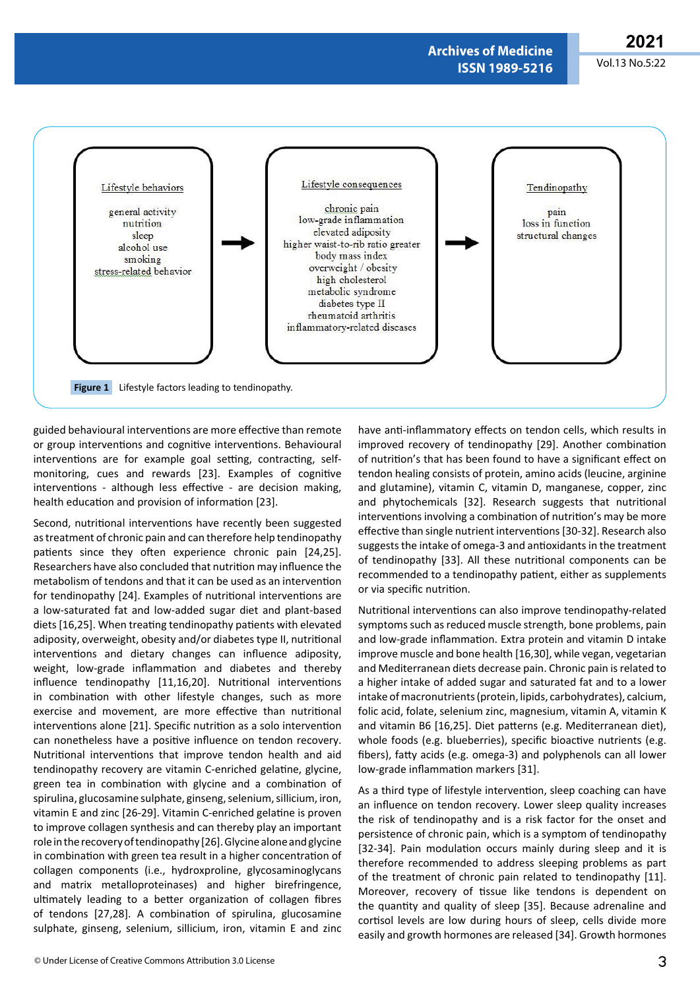**Archives of Medicine ISSN 1989-5216**



guided behavioural interventions are more effective than remote or group interventions and cognitive interventions. Behavioural interventions are for example goal setting, contracting, selfmonitoring, cues and rewards [23]. Examples of cognitive interventions - although less effective - are decision making, health education and provision of information [23].

Second, nutritional interventions have recently been suggested as treatment of chronic pain and can therefore help tendinopathy patients since they often experience chronic pain [24,25]. Researchers have also concluded that nutrition may influence the metabolism of tendons and that it can be used as an intervention for tendinopathy [24]. Examples of nutritional interventions are a low-saturated fat and low-added sugar diet and plant-based diets [16,25]. When treating tendinopathy patients with elevated adiposity, overweight, obesity and/or diabetes type II, nutritional interventions and dietary changes can influence adiposity, weight, low-grade inflammation and diabetes and thereby influence tendinopathy [11,16,20]. Nutritional interventions in combination with other lifestyle changes, such as more exercise and movement, are more effective than nutritional interventions alone [21]. Specific nutrition as a solo intervention can nonetheless have a positive influence on tendon recovery. Nutritional interventions that improve tendon health and aid tendinopathy recovery are vitamin C-enriched gelatine, glycine, green tea in combination with glycine and a combination of spirulina, glucosamine sulphate, ginseng, selenium, sillicium, iron, vitamin E and zinc [26-29]. Vitamin C-enriched gelatine is proven to improve collagen synthesis and can thereby play an important role in the recovery of tendinopathy [26]. Glycine alone and glycine in combination with green tea result in a higher concentration of collagen components (i.e., hydroxproline, glycosaminoglycans and matrix metalloproteinases) and higher birefringence, ultimately leading to a better organization of collagen fibres of tendons [27,28]. A combination of spirulina, glucosamine sulphate, ginseng, selenium, sillicium, iron, vitamin E and zinc

improved recovery of tendinopathy [29]. Another combination of nutrition's that has been found to have a significant effect on tendon healing consists of protein, amino acids (leucine, arginine and glutamine), vitamin C, vitamin D, manganese, copper, zinc and phytochemicals [32]. Research suggests that nutritional interventions involving a combination of nutrition's may be more effective than single nutrient interventions [30-32]. Research also suggests the intake of omega-3 and antioxidants in the treatment of tendinopathy [33]. All these nutritional components can be recommended to a tendinopathy patient, either as supplements or via specific nutrition.

have anti-inflammatory effects on tendon cells, which results in

Nutritional interventions can also improve tendinopathy-related symptoms such as reduced muscle strength, bone problems, pain and low-grade inflammation. Extra protein and vitamin D intake improve muscle and bone health [16,30], while vegan, vegetarian and Mediterranean diets decrease pain. Chronic pain is related to a higher intake of added sugar and saturated fat and to a lower intake of macronutrients (protein, lipids, carbohydrates), calcium, folic acid, folate, selenium zinc, magnesium, vitamin A, vitamin K and vitamin B6 [16,25]. Diet patterns (e.g. Mediterranean diet), whole foods (e.g. blueberries), specific bioactive nutrients (e.g. fibers), fatty acids (e.g. omega-3) and polyphenols can all lower low-grade inflammation markers [31].

As a third type of lifestyle intervention, sleep coaching can have an influence on tendon recovery. Lower sleep quality increases the risk of tendinopathy and is a risk factor for the onset and persistence of chronic pain, which is a symptom of tendinopathy [32-34]. Pain modulation occurs mainly during sleep and it is therefore recommended to address sleeping problems as part of the treatment of chronic pain related to tendinopathy [11]. Moreover, recovery of tissue like tendons is dependent on the quantity and quality of sleep [35]. Because adrenaline and cortisol levels are low during hours of sleep, cells divide more easily and growth hormones are released [34]. Growth hormones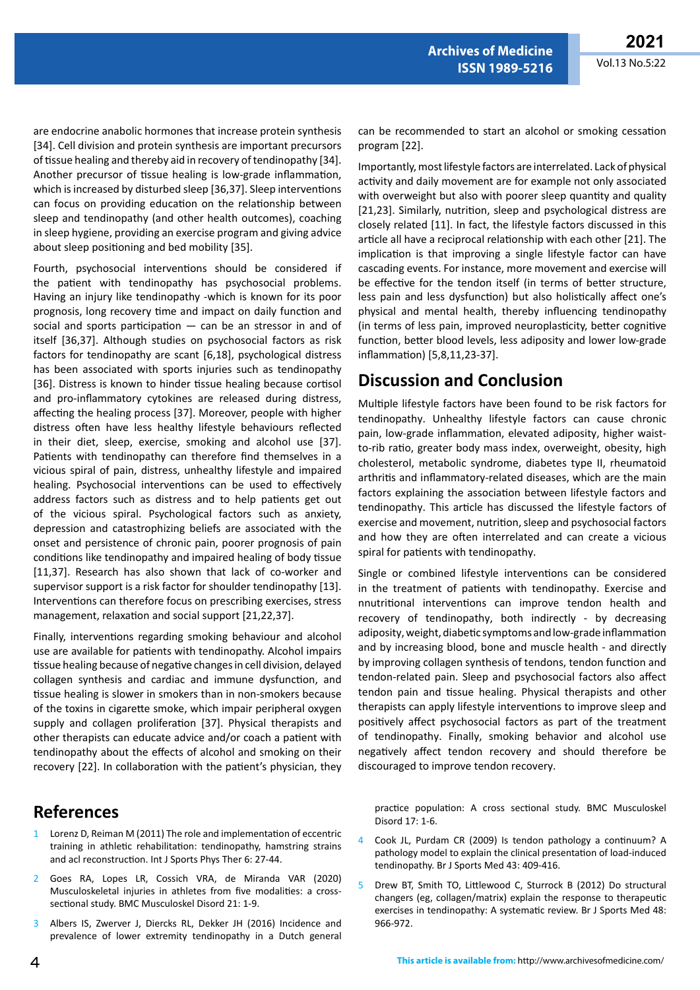are endocrine anabolic hormones that increase protein synthesis [34]. Cell division and protein synthesis are important precursors of tissue healing and thereby aid in recovery of tendinopathy [34]. Another precursor of tissue healing is low-grade inflammation, which is increased by disturbed sleep [36,37]. Sleep interventions can focus on providing education on the relationship between sleep and tendinopathy (and other health outcomes), coaching in sleep hygiene, providing an exercise program and giving advice about sleep positioning and bed mobility [35].

Fourth, psychosocial interventions should be considered if the patient with tendinopathy has psychosocial problems. Having an injury like tendinopathy -which is known for its poor prognosis, long recovery time and impact on daily function and social and sports participation — can be an stressor in and of itself [36,37]. Although studies on psychosocial factors as risk factors for tendinopathy are scant [6,18], psychological distress has been associated with sports injuries such as tendinopathy [36]. Distress is known to hinder tissue healing because cortisol and pro-inflammatory cytokines are released during distress, affecting the healing process [37]. Moreover, people with higher distress often have less healthy lifestyle behaviours reflected in their diet, sleep, exercise, smoking and alcohol use [37]. Patients with tendinopathy can therefore find themselves in a vicious spiral of pain, distress, unhealthy lifestyle and impaired healing. Psychosocial interventions can be used to effectively address factors such as distress and to help patients get out of the vicious spiral. Psychological factors such as anxiety, depression and catastrophizing beliefs are associated with the onset and persistence of chronic pain, poorer prognosis of pain conditions like tendinopathy and impaired healing of body tissue [11,37]. Research has also shown that lack of co-worker and supervisor support is a risk factor for shoulder tendinopathy [13]. Interventions can therefore focus on prescribing exercises, stress management, relaxation and social support [21,22,37].

Finally, interventions regarding smoking behaviour and alcohol use are available for patients with tendinopathy. Alcohol impairs tissue healing because of negative changes in cell division, delayed collagen synthesis and cardiac and immune dysfunction, and tissue healing is slower in smokers than in non-smokers because of the toxins in cigarette smoke, which impair peripheral oxygen supply and collagen proliferation [37]. Physical therapists and other therapists can educate advice and/or coach a patient with tendinopathy about the effects of alcohol and smoking on their recovery [22]. In collaboration with the patient's physician, they

### **References**

- Lorenz D, Reiman M (2011) The role and implementation of eccentric training in athletic rehabilitation: tendinopathy, hamstring strains and acl reconstruction. Int J Sports Phys Ther 6: 27-44.
- 2 Goes RA, Lopes LR, Cossich VRA, de Miranda VAR (2020) Musculoskeletal injuries in athletes from five modalities: a crosssectional study. BMC Musculoskel Disord 21: 1-9.
- 3 Albers IS, Zwerver J, Diercks RL, Dekker JH (2016) Incidence and prevalence of lower extremity tendinopathy in a Dutch general

can be recommended to start an alcohol or smoking cessation program [22].

**Archives of Medicine ISSN 1989-5216**

Importantly, most lifestyle factors are interrelated. Lack of physical activity and daily movement are for example not only associated with overweight but also with poorer sleep quantity and quality [21,23]. Similarly, nutrition, sleep and psychological distress are closely related [11]. In fact, the lifestyle factors discussed in this article all have a reciprocal relationship with each other [21]. The implication is that improving a single lifestyle factor can have cascading events. For instance, more movement and exercise will be effective for the tendon itself (in terms of better structure, less pain and less dysfunction) but also holistically affect one's physical and mental health, thereby influencing tendinopathy (in terms of less pain, improved neuroplasticity, better cognitive function, better blood levels, less adiposity and lower low-grade inflammation) [5,8,11,23-37].

## **Discussion and Conclusion**

Multiple lifestyle factors have been found to be risk factors for tendinopathy. Unhealthy lifestyle factors can cause chronic pain, low-grade inflammation, elevated adiposity, higher waistto-rib ratio, greater body mass index, overweight, obesity, high cholesterol, metabolic syndrome, diabetes type II, rheumatoid arthritis and inflammatory-related diseases, which are the main factors explaining the association between lifestyle factors and tendinopathy. This article has discussed the lifestyle factors of exercise and movement, nutrition, sleep and psychosocial factors and how they are often interrelated and can create a vicious spiral for patients with tendinopathy.

Single or combined lifestyle interventions can be considered in the treatment of patients with tendinopathy. Exercise and nnutritional interventions can improve tendon health and recovery of tendinopathy, both indirectly - by decreasing adiposity, weight, diabetic symptoms and low-grade inflammation and by increasing blood, bone and muscle health - and directly by improving collagen synthesis of tendons, tendon function and tendon-related pain. Sleep and psychosocial factors also affect tendon pain and tissue healing. Physical therapists and other therapists can apply lifestyle interventions to improve sleep and positively affect psychosocial factors as part of the treatment of tendinopathy. Finally, smoking behavior and alcohol use negatively affect tendon recovery and should therefore be discouraged to improve tendon recovery.

practice population: A cross sectional study. BMC Musculoskel Disord 17: 1-6.

- 4 Cook JL, Purdam CR (2009) Is tendon pathology a continuum? A pathology model to explain the clinical presentation of load-induced tendinopathy. Br J Sports Med 43: 409-416.
- 5 Drew BT, Smith TO, Littlewood C, Sturrock B (2012) Do structural changers (eg, collagen/matrix) explain the response to therapeutic exercises in tendinopathy: A systematic review. Br J Sports Med 48: 966-972.